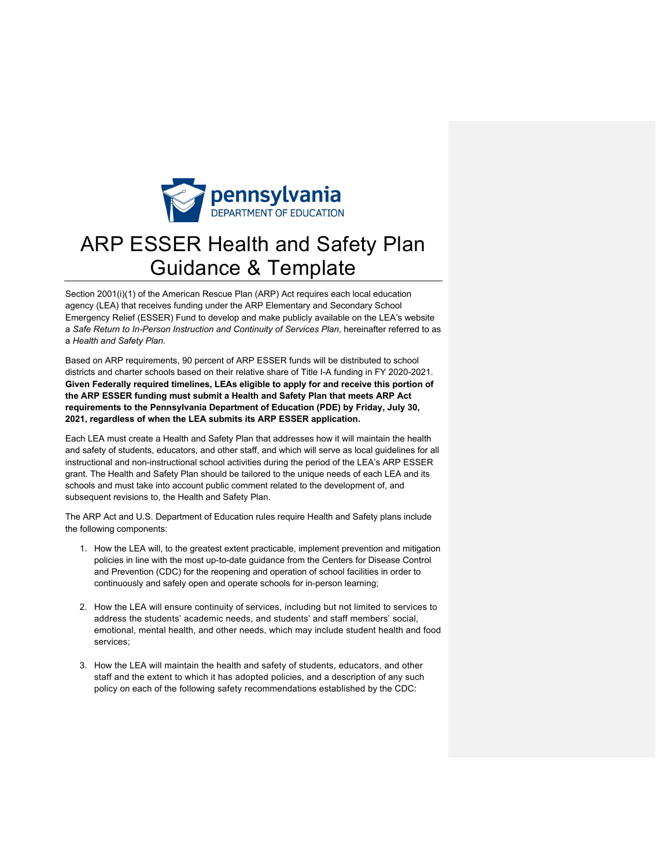

# ARP ESSER Health and Safety Plan Guidance & Template

Section 2001(i)(1) of the American Rescue Plan (ARP) Act requires each local education agency (LEA) that receives funding under the ARP Elementary and Secondary School Emergency Relief (ESSER) Fund to develop and make publicly available on the LEA's website a *Safe Return to In-Person Instruction and Continuity of Services Plan*, hereinafter referred to as a *Health and Safety Plan*.

Based on ARP requirements, 90 percent of ARP ESSER funds will be distributed to school districts and charter schools based on their relative share of Title I-A funding in FY 2020-2021. **Given Federally required timelines, LEAs eligible to apply for and receive this portion of the ARP ESSER funding must submit a Health and Safety Plan that meets ARP Act requirements to the Pennsylvania Department of Education (PDE) by Friday, July 30, 2021, regardless of when the LEA submits its ARP ESSER application.** 

Each LEA must create a Health and Safety Plan that addresses how it will maintain the health and safety of students, educators, and other staff, and which will serve as local guidelines for all instructional and non-instructional school activities during the period of the LEA's ARP ESSER grant. The Health and Safety Plan should be tailored to the unique needs of each LEA and its schools and must take into account public comment related to the development of, and subsequent revisions to, the Health and Safety Plan.

The ARP Act and U.S. Department of Education rules require Health and Safety plans include the following components:

- 1. How the LEA will, to the greatest extent practicable, implement prevention and mitigation policies in line with the most up-to-date guidance from the Centers for Disease Control and Prevention (CDC) for the reopening and operation of school facilities in order to continuously and safely open and operate schools for in-person learning;
- 2. How the LEA will ensure continuity of services, including but not limited to services to address the students' academic needs, and students' and staff members' social, emotional, mental health, and other needs, which may include student health and food services;
- 3. How the LEA will maintain the health and safety of students, educators, and other staff and the extent to which it has adopted policies, and a description of any such policy on each of the following safety recommendations established by the CDC: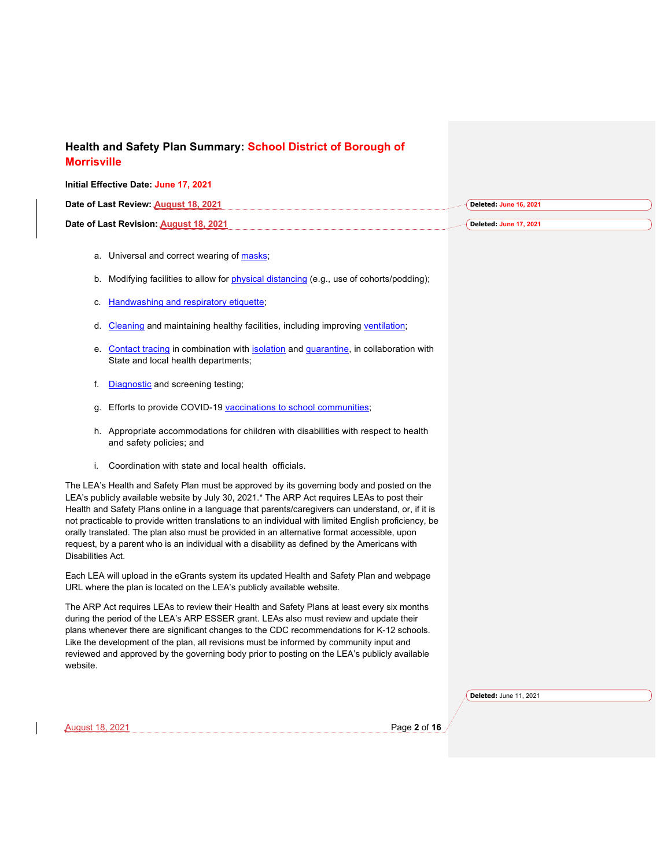#### **Initial Effective Date: June 17, 2021**

| Date of Last Review: August 18, 2021   | Deleted: June 16, 2021 |
|----------------------------------------|------------------------|
| Date of Last Revision: August 18, 2021 | Deleted: June 17, 2021 |

- a. Universal and correct wearing of masks;
- b. Modifying facilities to allow for *physical distancing* (e.g., use of cohorts/podding);
- c. Handwashing and respiratory etiquette;
- d. Cleaning and maintaining healthy facilities, including improving ventilation;
- e. Contact tracing in combination with isolation and quarantine, in collaboration with State and local health departments;
- f. **Diagnostic** and screening testing;
- g. Efforts to provide COVID-19 vaccinations to school communities;
- h. Appropriate accommodations for children with disabilities with respect to health and safety policies; and
- i. Coordination with state and local health officials.

The LEA's Health and Safety Plan must be approved by its governing body and posted on the LEA's publicly available website by July 30, 2021.\* The ARP Act requires LEAs to post their Health and Safety Plans online in a language that parents/caregivers can understand, or, if it is not practicable to provide written translations to an individual with limited English proficiency, be orally translated. The plan also must be provided in an alternative format accessible, upon request, by a parent who is an individual with a disability as defined by the Americans with Disabilities Act.

Each LEA will upload in the eGrants system its updated Health and Safety Plan and webpage URL where the plan is located on the LEA's publicly available website.

The ARP Act requires LEAs to review their Health and Safety Plans at least every six months during the period of the LEA's ARP ESSER grant. LEAs also must review and update their plans whenever there are significant changes to the CDC recommendations for K-12 schools. Like the development of the plan, all revisions must be informed by community input and reviewed and approved by the governing body prior to posting on the LEA's publicly available website.

**Deleted:** June 11, 2021

August 18, 2021 Page **2** of **16**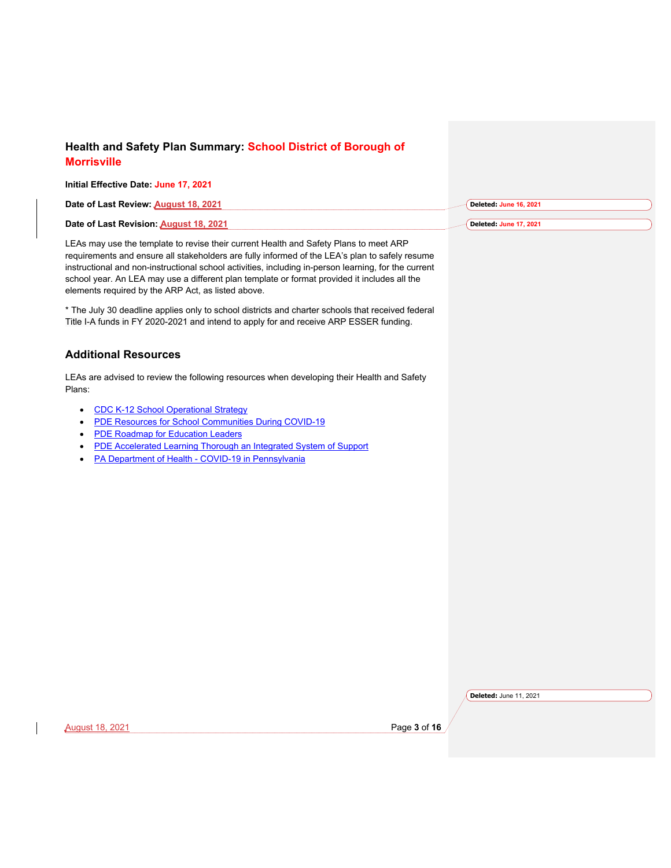#### **Initial Effective Date: June 17, 2021 Date of Last Review: August 18, 2021 Deleted: June 16, 2021**

LEAs may use the template to revise their current Health and Safety Plans to meet ARP requirements and ensure all stakeholders are fully informed of the LEA's plan to safely resume instructional and non-instructional school activities, including in-person learning, for the current school year. An LEA may use a different plan template or format provided it includes all the elements required by the ARP Act, as listed above.

\* The July 30 deadline applies only to school districts and charter schools that received federal Title I-A funds in FY 2020-2021 and intend to apply for and receive ARP ESSER funding.

#### **Additional Resources**

**Date of Last Revision: August 18, 2021**

LEAs are advised to review the following resources when developing their Health and Safety Plans:

- CDC K-12 School Operational Strategy
- PDE Resources for School Communities During COVID-19
- PDE Roadmap for Education Leaders
- PDE Accelerated Learning Thorough an Integrated System of Support
- PA Department of Health COVID-19 in Pennsylvania

**Deleted:** June 11, 2021

**Deleted: June 17, 2021**

August 18, 2021 Page **3** of **16**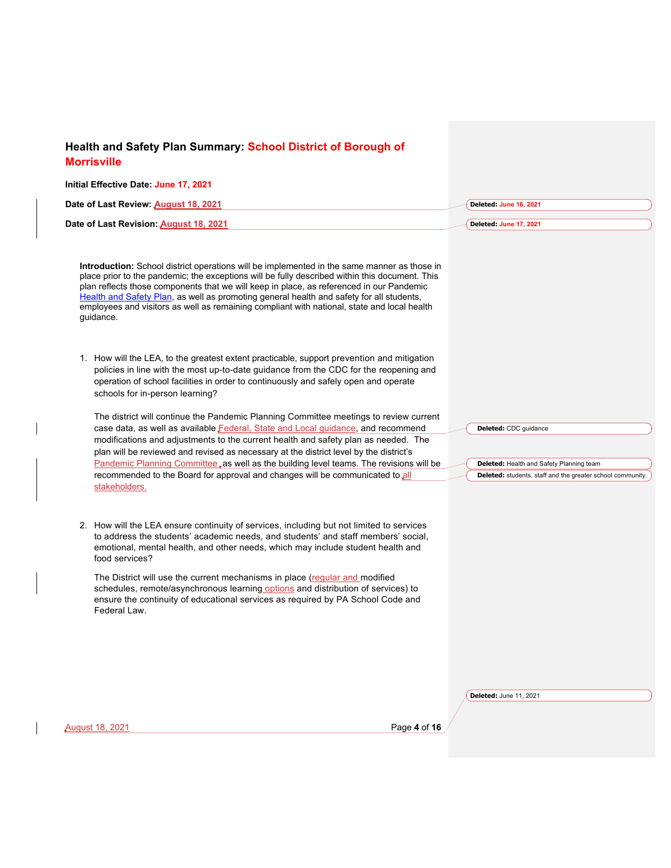| Health and Safety Plan Summary: School District of Borough of                                                                                                                                                                                                                                                                                                                                                                                                                                                                                          |                                                                                                                                 |
|--------------------------------------------------------------------------------------------------------------------------------------------------------------------------------------------------------------------------------------------------------------------------------------------------------------------------------------------------------------------------------------------------------------------------------------------------------------------------------------------------------------------------------------------------------|---------------------------------------------------------------------------------------------------------------------------------|
| <b>Morrisville</b>                                                                                                                                                                                                                                                                                                                                                                                                                                                                                                                                     |                                                                                                                                 |
| Initial Effective Date: June 17, 2021                                                                                                                                                                                                                                                                                                                                                                                                                                                                                                                  |                                                                                                                                 |
| Date of Last Review: August 18, 2021                                                                                                                                                                                                                                                                                                                                                                                                                                                                                                                   | Deleted: June 16, 2021                                                                                                          |
| Date of Last Revision: August 18, 2021                                                                                                                                                                                                                                                                                                                                                                                                                                                                                                                 | Deleted: June 17, 2021                                                                                                          |
| Introduction: School district operations will be implemented in the same manner as those in<br>place prior to the pandemic; the exceptions will be fully described within this document. This<br>plan reflects those components that we will keep in place, as referenced in our Pandemic<br>Health and Safety Plan, as well as promoting general health and safety for all students,<br>employees and visitors as well as remaining compliant with national, state and local health<br>guidance.                                                      |                                                                                                                                 |
| 1. How will the LEA, to the greatest extent practicable, support prevention and mitigation<br>policies in line with the most up-to-date guidance from the CDC for the reopening and<br>operation of school facilities in order to continuously and safely open and operate<br>schools for in-person learning?                                                                                                                                                                                                                                          |                                                                                                                                 |
| The district will continue the Pandemic Planning Committee meetings to review current<br>case data, as well as available Federal, State and Local guidance, and recommend<br>modifications and adjustments to the current health and safety plan as needed. The<br>plan will be reviewed and revised as necessary at the district level by the district's<br>Pandemic Planning Committee, as well as the building level teams. The revisions will be<br>recommended to the Board for approval and changes will be communicated to all<br>stakeholders. | Deleted: CDC guidance<br>Deleted: Health and Safety Planning team<br>Deleted: students, staff and the greater school community. |
| 2. How will the LEA ensure continuity of services, including but not limited to services<br>to address the students' academic needs, and students' and staff members' social,<br>emotional, mental health, and other needs, which may include student health and<br>food services?                                                                                                                                                                                                                                                                     |                                                                                                                                 |
| The District will use the current mechanisms in place (regular and modified<br>schedules, remote/asynchronous learning options and distribution of services) to<br>ensure the continuity of educational services as required by PA School Code and<br>Federal Law.                                                                                                                                                                                                                                                                                     |                                                                                                                                 |
|                                                                                                                                                                                                                                                                                                                                                                                                                                                                                                                                                        | Deleted: June 11, 2021                                                                                                          |
| Page 4 of 16<br><b>August 18, 2021</b>                                                                                                                                                                                                                                                                                                                                                                                                                                                                                                                 |                                                                                                                                 |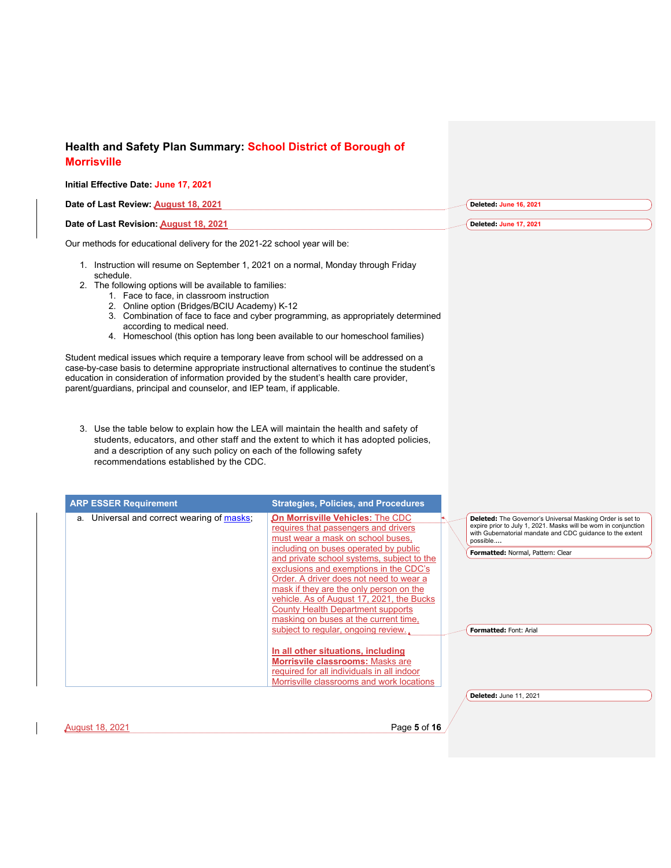| <b>Morrisville</b>                                                                                                                                                                                                                                                                                                                                                    |                                                                                                                                                                                                                                                                                                                                                                                                                               |                                                                                                                                                                                                                                            |
|-----------------------------------------------------------------------------------------------------------------------------------------------------------------------------------------------------------------------------------------------------------------------------------------------------------------------------------------------------------------------|-------------------------------------------------------------------------------------------------------------------------------------------------------------------------------------------------------------------------------------------------------------------------------------------------------------------------------------------------------------------------------------------------------------------------------|--------------------------------------------------------------------------------------------------------------------------------------------------------------------------------------------------------------------------------------------|
| Initial Effective Date: June 17, 2021                                                                                                                                                                                                                                                                                                                                 |                                                                                                                                                                                                                                                                                                                                                                                                                               |                                                                                                                                                                                                                                            |
| Date of Last Review: August 18, 2021                                                                                                                                                                                                                                                                                                                                  |                                                                                                                                                                                                                                                                                                                                                                                                                               | Deleted: June 16, 2021                                                                                                                                                                                                                     |
| Date of Last Revision: August 18, 2021                                                                                                                                                                                                                                                                                                                                |                                                                                                                                                                                                                                                                                                                                                                                                                               | Deleted: June 17, 2021                                                                                                                                                                                                                     |
| Our methods for educational delivery for the 2021-22 school year will be:                                                                                                                                                                                                                                                                                             |                                                                                                                                                                                                                                                                                                                                                                                                                               |                                                                                                                                                                                                                                            |
| 1. Instruction will resume on September 1, 2021 on a normal, Monday through Friday<br>schedule.<br>2. The following options will be available to families:<br>1. Face to face, in classroom instruction<br>2. Online option (Bridges/BCIU Academy) K-12                                                                                                               |                                                                                                                                                                                                                                                                                                                                                                                                                               |                                                                                                                                                                                                                                            |
| according to medical need.                                                                                                                                                                                                                                                                                                                                            | 3. Combination of face to face and cyber programming, as appropriately determined<br>4. Homeschool (this option has long been available to our homeschool families)                                                                                                                                                                                                                                                           |                                                                                                                                                                                                                                            |
| Student medical issues which require a temporary leave from school will be addressed on a<br>case-by-case basis to determine appropriate instructional alternatives to continue the student's<br>education in consideration of information provided by the student's health care provider,<br>parent/quardians, principal and counselor, and IEP team, if applicable. |                                                                                                                                                                                                                                                                                                                                                                                                                               |                                                                                                                                                                                                                                            |
| 3. Use the table below to explain how the LEA will maintain the health and safety of<br>and a description of any such policy on each of the following safety                                                                                                                                                                                                          | students, educators, and other staff and the extent to which it has adopted policies,                                                                                                                                                                                                                                                                                                                                         |                                                                                                                                                                                                                                            |
| recommendations established by the CDC.<br><b>ARP ESSER Requirement</b>                                                                                                                                                                                                                                                                                               | <b>Strategies, Policies, and Procedures</b>                                                                                                                                                                                                                                                                                                                                                                                   |                                                                                                                                                                                                                                            |
| a. Universal and correct wearing of masks;                                                                                                                                                                                                                                                                                                                            | On Morrisville Vehicles: The CDC<br>requires that passengers and drivers<br>must wear a mask on school buses,<br>including on buses operated by public<br>and private school systems, subject to the<br>exclusions and exemptions in the CDC's<br>Order. A driver does not need to wear a<br>mask if they are the only person on the<br>vehicle. As of August 17, 2021, the Bucks<br><b>County Health Department supports</b> | Deleted: The Governor's Universal Masking Order is set to<br>expire prior to July 1, 2021. Masks will be worn in conjunction<br>with Gubernatorial mandate and CDC guidance to the extent<br>possible<br>Formatted: Normal, Pattern: Clear |
|                                                                                                                                                                                                                                                                                                                                                                       | masking on buses at the current time,<br>subject to regular, ongoing review.<br>In all other situations, including<br>Morrisvile classrooms: Masks are<br>required for all individuals in all indoor<br>Morrisville classrooms and work locations                                                                                                                                                                             | Formatted: Font: Arial<br>Deleted: June 11, 2021                                                                                                                                                                                           |
|                                                                                                                                                                                                                                                                                                                                                                       |                                                                                                                                                                                                                                                                                                                                                                                                                               |                                                                                                                                                                                                                                            |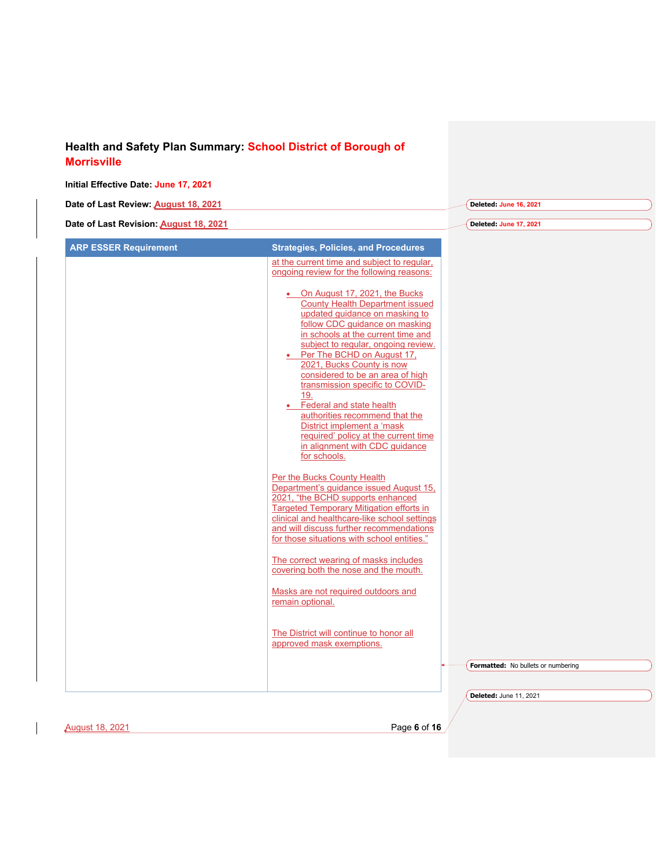| Date of Last Review: August 18, 2021   |                                                                                                                                                                                                                                                                                                                                                                                                                                                                                                                                                                      | Deleted: June 16, 2021             |
|----------------------------------------|----------------------------------------------------------------------------------------------------------------------------------------------------------------------------------------------------------------------------------------------------------------------------------------------------------------------------------------------------------------------------------------------------------------------------------------------------------------------------------------------------------------------------------------------------------------------|------------------------------------|
| Date of Last Revision: August 18, 2021 |                                                                                                                                                                                                                                                                                                                                                                                                                                                                                                                                                                      | Deleted: June 17, 2021             |
| <b>ARP ESSER Requirement</b>           | <b>Strategies, Policies, and Procedures</b>                                                                                                                                                                                                                                                                                                                                                                                                                                                                                                                          |                                    |
|                                        | at the current time and subject to regular,<br>ongoing review for the following reasons:                                                                                                                                                                                                                                                                                                                                                                                                                                                                             |                                    |
|                                        | On August 17, 2021, the Bucks<br><b>County Health Department issued</b><br>updated quidance on masking to<br>follow CDC guidance on masking<br>in schools at the current time and<br>subject to regular, ongoing review.<br>Per The BCHD on August 17,<br>2021, Bucks County is now<br>considered to be an area of high<br>transmission specific to COVID-<br>19.<br>Federal and state health<br>$\bullet$<br>authorities recommend that the<br>District implement a 'mask<br>required' policy at the current time<br>in alignment with CDC guidance<br>for schools. |                                    |
|                                        | Per the Bucks County Health<br>Department's quidance issued August 15,<br>2021, "the BCHD supports enhanced<br><b>Targeted Temporary Mitigation efforts in</b><br>clinical and healthcare-like school settings<br>and will discuss further recommendations<br>for those situations with school entities."                                                                                                                                                                                                                                                            |                                    |
|                                        | The correct wearing of masks includes<br>covering both the nose and the mouth.                                                                                                                                                                                                                                                                                                                                                                                                                                                                                       |                                    |
|                                        | Masks are not required outdoors and<br>remain optional.                                                                                                                                                                                                                                                                                                                                                                                                                                                                                                              |                                    |
|                                        | The District will continue to honor all<br>approved mask exemptions.                                                                                                                                                                                                                                                                                                                                                                                                                                                                                                 |                                    |
|                                        |                                                                                                                                                                                                                                                                                                                                                                                                                                                                                                                                                                      | Formatted: No bullets or numbering |
|                                        |                                                                                                                                                                                                                                                                                                                                                                                                                                                                                                                                                                      | Deleted: June 11, 2021             |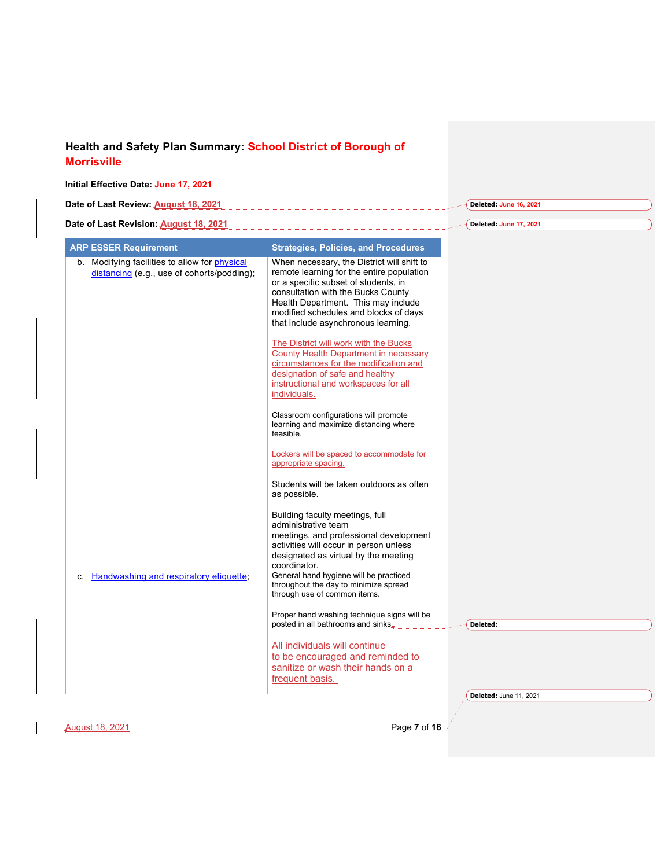#### **Initial Effective Date: June 17, 2021**

| Date of Last Review: August 18, 2021                                                        |                                                                                                                                                                                                                                                                                                                                                                                                                                                             | Deleted: June 16, 2021        |
|---------------------------------------------------------------------------------------------|-------------------------------------------------------------------------------------------------------------------------------------------------------------------------------------------------------------------------------------------------------------------------------------------------------------------------------------------------------------------------------------------------------------------------------------------------------------|-------------------------------|
|                                                                                             |                                                                                                                                                                                                                                                                                                                                                                                                                                                             |                               |
| Date of Last Revision: August 18, 2021                                                      |                                                                                                                                                                                                                                                                                                                                                                                                                                                             | Deleted: June 17, 2021        |
| <b>ARP ESSER Requirement</b>                                                                | <b>Strategies, Policies, and Procedures</b>                                                                                                                                                                                                                                                                                                                                                                                                                 |                               |
| b. Modifying facilities to allow for physical<br>distancing (e.g., use of cohorts/podding); | When necessary, the District will shift to<br>remote learning for the entire population<br>or a specific subset of students, in<br>consultation with the Bucks County<br>Health Department. This may include<br>modified schedules and blocks of days<br>that include asynchronous learning.<br>The District will work with the Bucks<br>County Health Department in necessary<br>circumstances for the modification and<br>designation of safe and healthy |                               |
|                                                                                             | instructional and workspaces for all<br>individuals.<br>Classroom configurations will promote<br>learning and maximize distancing where<br>feasible.                                                                                                                                                                                                                                                                                                        |                               |
|                                                                                             | Lockers will be spaced to accommodate for<br>appropriate spacing.<br>Students will be taken outdoors as often<br>as possible.                                                                                                                                                                                                                                                                                                                               |                               |
|                                                                                             | Building faculty meetings, full<br>administrative team<br>meetings, and professional development<br>activities will occur in person unless<br>designated as virtual by the meeting<br>coordinator.                                                                                                                                                                                                                                                          |                               |
| Handwashing and respiratory etiquette.<br>C.                                                | General hand hygiene will be practiced<br>throughout the day to minimize spread<br>through use of common items.                                                                                                                                                                                                                                                                                                                                             |                               |
|                                                                                             | Proper hand washing technique signs will be<br>posted in all bathrooms and sinks,<br>All individuals will continue<br>to be encouraged and reminded to<br>sanitize or wash their hands on a<br>frequent basis.                                                                                                                                                                                                                                              | Deleted:                      |
|                                                                                             |                                                                                                                                                                                                                                                                                                                                                                                                                                                             | <b>Deleted: June 11, 2021</b> |
|                                                                                             |                                                                                                                                                                                                                                                                                                                                                                                                                                                             |                               |
| <b>August 18, 2021</b>                                                                      | Page 7 of 16                                                                                                                                                                                                                                                                                                                                                                                                                                                |                               |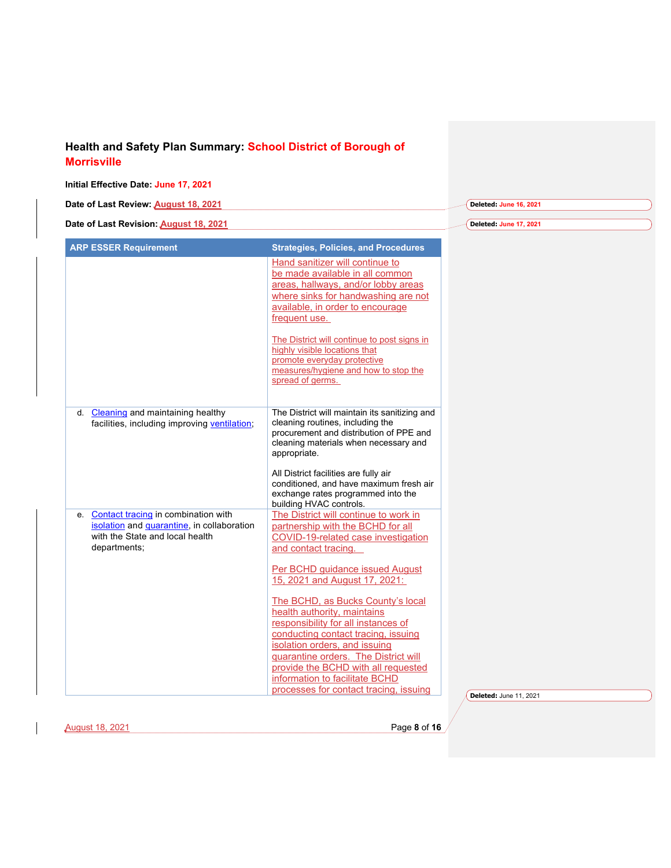#### **Initial Effective Date: June 17, 2021 Date of Last Review: August 18, 2021 Date of Last Revision: August 18, 2021 Deleted: June 16, 2021 Deleted: June 17, 2021 ARP ESSER Requirement Strategies, Policies, and Procedures** Hand sanitizer will continue to be made available in all common areas, hallways, and/or lobby areas where sinks for handwashing are not available, in order to encourage frequent use. The District will continue to post signs in highly visible locations that promote everyday protective measures/hygiene and how to stop the spread of germs. d. Cleaning and maintaining healthy facilities, including improving ventilation; The District will maintain its sanitizing and cleaning routines, including the procurement and distribution of PPE and cleaning materials when necessary and appropriate. All District facilities are fully air conditioned, and have maximum fresh air exchange rates programmed into the building HVAC controls. e. Contact tracing in combination with isolation and quarantine, in collaboration with the State and local health departments; The District will continue to work in partnership with the BCHD for all COVID-19-related case investigation and contact tracing. Per BCHD guidance issued August 15, 2021 and August 17, 2021: The BCHD, as Bucks County's local health authority, maintains responsibility for all instances of conducting contact tracing, issuing isolation orders, and issuing quarantine orders. The District will provide the BCHD with all requested information to facilitate BCHD

processes for contact tracing, issuing

August 18, 2021 Page **8** of **16**

**Deleted:** June 11, 2021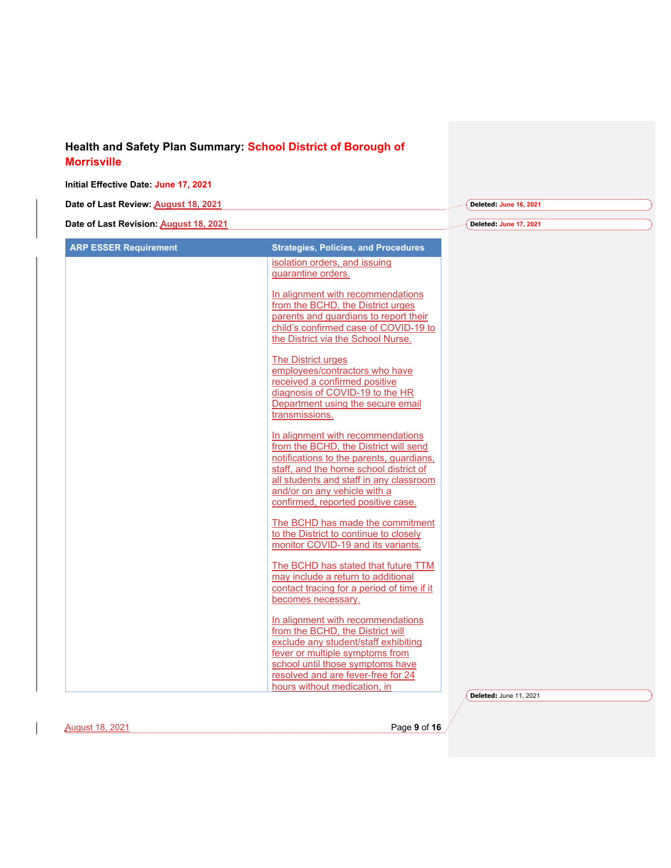| Date of Last Review: August 18, 2021   |                                                                                                                                                                                                                                                                                                                                                                                                                                                                                                                                                                                                                                                                                                                                                                                                                                                                                                                                                                                                                                                                                                                                                                                                                                                                                                                 | Deleted: June 16, 2021 |
|----------------------------------------|-----------------------------------------------------------------------------------------------------------------------------------------------------------------------------------------------------------------------------------------------------------------------------------------------------------------------------------------------------------------------------------------------------------------------------------------------------------------------------------------------------------------------------------------------------------------------------------------------------------------------------------------------------------------------------------------------------------------------------------------------------------------------------------------------------------------------------------------------------------------------------------------------------------------------------------------------------------------------------------------------------------------------------------------------------------------------------------------------------------------------------------------------------------------------------------------------------------------------------------------------------------------------------------------------------------------|------------------------|
| Date of Last Revision: August 18, 2021 |                                                                                                                                                                                                                                                                                                                                                                                                                                                                                                                                                                                                                                                                                                                                                                                                                                                                                                                                                                                                                                                                                                                                                                                                                                                                                                                 | Deleted: June 17, 2021 |
| <b>ARP ESSER Requirement</b>           | <b>Strategies, Policies, and Procedures</b><br>isolation orders, and issuing<br>quarantine orders.<br>In alignment with recommendations<br>from the BCHD, the District urges<br>parents and guardians to report their<br>child's confirmed case of COVID-19 to<br>the District via the School Nurse.<br>The District urges<br>employees/contractors who have<br>received a confirmed positive<br>diagnosis of COVID-19 to the HR<br>Department using the secure email<br>transmissions.<br>In alignment with recommendations<br>from the BCHD, the District will send<br>notifications to the parents, quardians,<br>staff, and the home school district of<br>all students and staff in any classroom<br>and/or on any vehicle with a<br>confirmed, reported positive case.<br>The BCHD has made the commitment<br>to the District to continue to closely<br>monitor COVID-19 and its variants.<br>The BCHD has stated that future TTM<br>may include a return to additional<br>contact tracing for a period of time if it<br>becomes necessary.<br>In alignment with recommendations<br>from the BCHD, the District will<br>exclude any student/staff exhibiting<br>fever or multiple symptoms from<br>school until those symptoms have<br>resolved and are fever-free for 24<br>hours without medication, in |                        |

August 18, 2021 Page **9** of **16**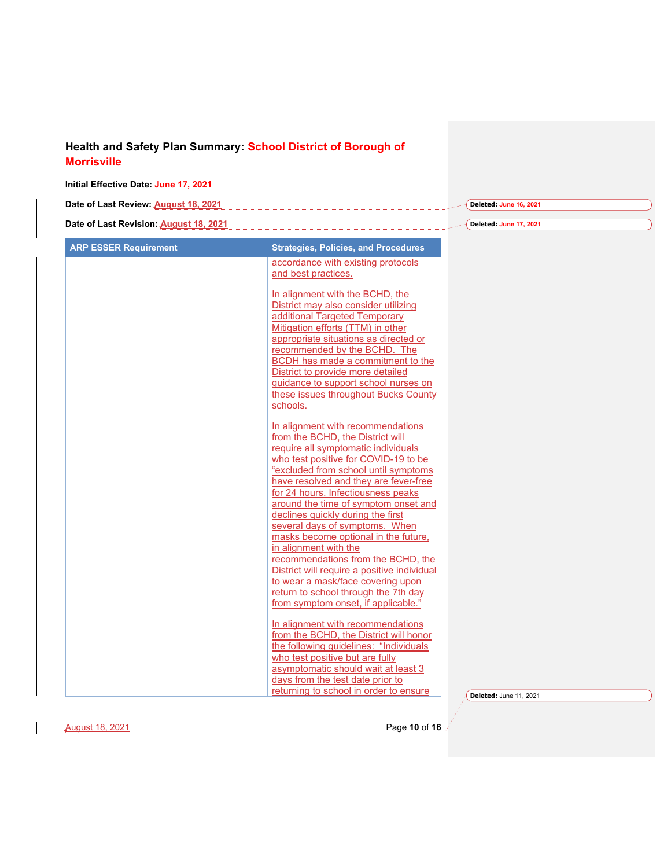| Date of Last Review: August 18, 2021   |                                                                                                                                                                                                                                                                                                                                          | Deleted: June 16, 2021 |
|----------------------------------------|------------------------------------------------------------------------------------------------------------------------------------------------------------------------------------------------------------------------------------------------------------------------------------------------------------------------------------------|------------------------|
| Date of Last Revision: August 18, 2021 |                                                                                                                                                                                                                                                                                                                                          | Deleted: June 17, 2021 |
| <b>ARP ESSER Requirement</b>           | <b>Strategies, Policies, and Procedures</b>                                                                                                                                                                                                                                                                                              |                        |
|                                        | accordance with existing protocols<br>and best practices.                                                                                                                                                                                                                                                                                |                        |
|                                        | In alignment with the BCHD, the<br>District may also consider utilizing<br>additional Targeted Temporary<br>Mitigation efforts (TTM) in other<br>appropriate situations as directed or<br>recommended by the BCHD. The<br>BCDH has made a commitment to the<br>District to provide more detailed<br>guidance to support school nurses on |                        |
|                                        | these issues throughout Bucks County<br>schools.<br>In alignment with recommendations                                                                                                                                                                                                                                                    |                        |
|                                        | from the BCHD, the District will<br>require all symptomatic individuals<br>who test positive for COVID-19 to be<br>"excluded from school until symptoms<br>have resolved and they are fever-free                                                                                                                                         |                        |
|                                        | for 24 hours. Infectiousness peaks<br>around the time of symptom onset and<br>declines quickly during the first<br>several days of symptoms. When<br>masks become optional in the future,                                                                                                                                                |                        |
|                                        | in alignment with the<br>recommendations from the BCHD, the<br>District will require a positive individual<br>to wear a mask/face covering upon<br>return to school through the 7th day<br>from symptom onset, if applicable."                                                                                                           |                        |
|                                        | In alignment with recommendations<br>from the BCHD, the District will honor<br>the following guidelines: "Individuals<br>who test positive but are fully<br>asymptomatic should wait at least 3                                                                                                                                          |                        |
|                                        | days from the test date prior to<br>returning to school in order to ensure                                                                                                                                                                                                                                                               | Deleted: June 11, 2021 |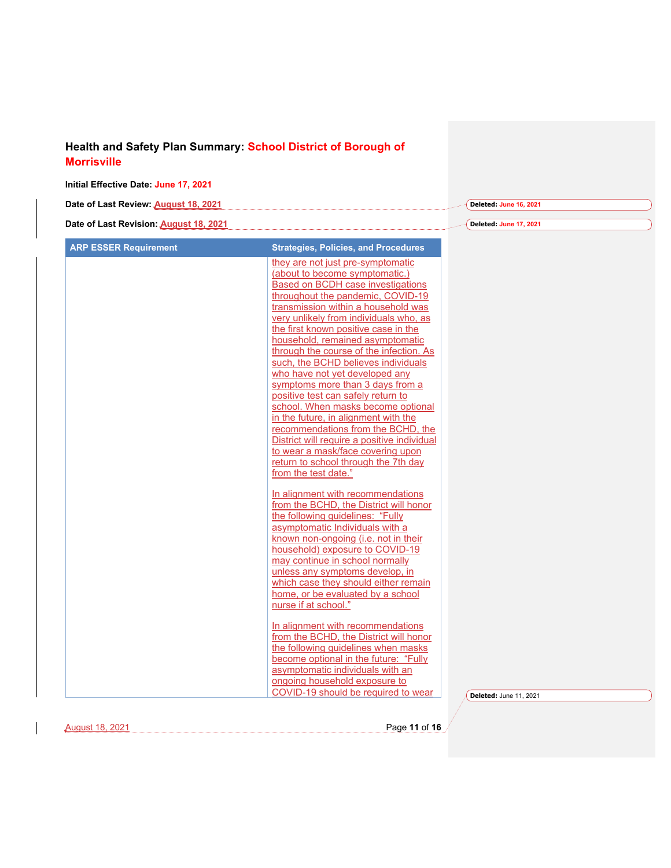#### **Initial Effective Date: June 17, 2021**

| Date of Last Review: August 18, 2021   | Deleted: June 16, 2021) |
|----------------------------------------|-------------------------|
|                                        |                         |
| Date of Last Revision: August 18, 2021 | Deleted: June 17, 2021) |

| they are not just pre-symptomatic<br>(about to become symptomatic.)<br>Based on BCDH case investigations<br>throughout the pandemic, COVID-19<br>transmission within a household was<br>very unlikely from individuals who, as<br>the first known positive case in the<br>household, remained asymptomatic<br>through the course of the infection. As<br>such, the BCHD believes individuals<br>who have not yet developed any<br>symptoms more than 3 days from a<br>positive test can safely return to<br>school. When masks become optional<br>in the future, in alignment with the<br>recommendations from the BCHD, the<br>District will require a positive individual<br>to wear a mask/face covering upon<br>return to school through the 7th day<br>from the test date."<br>In alignment with recommendations<br>from the BCHD, the District will honor<br>the following guidelines: "Fully<br>asymptomatic Individuals with a<br>known non-ongoing (i.e. not in their<br>household) exposure to COVID-19<br>may continue in school normally<br>unless any symptoms develop, in<br>which case they should either remain<br>home, or be evaluated by a school<br>nurse if at school."<br>In alignment with recommendations<br>from the BCHD, the District will honor<br>the following guidelines when masks<br>become optional in the future: "Fully<br>asymptomatic individuals with an |                                         |                        |
|-------------------------------------------------------------------------------------------------------------------------------------------------------------------------------------------------------------------------------------------------------------------------------------------------------------------------------------------------------------------------------------------------------------------------------------------------------------------------------------------------------------------------------------------------------------------------------------------------------------------------------------------------------------------------------------------------------------------------------------------------------------------------------------------------------------------------------------------------------------------------------------------------------------------------------------------------------------------------------------------------------------------------------------------------------------------------------------------------------------------------------------------------------------------------------------------------------------------------------------------------------------------------------------------------------------------------------------------------------------------------------------------------|-----------------------------------------|------------------------|
|                                                                                                                                                                                                                                                                                                                                                                                                                                                                                                                                                                                                                                                                                                                                                                                                                                                                                                                                                                                                                                                                                                                                                                                                                                                                                                                                                                                                 |                                         |                        |
|                                                                                                                                                                                                                                                                                                                                                                                                                                                                                                                                                                                                                                                                                                                                                                                                                                                                                                                                                                                                                                                                                                                                                                                                                                                                                                                                                                                                 |                                         |                        |
|                                                                                                                                                                                                                                                                                                                                                                                                                                                                                                                                                                                                                                                                                                                                                                                                                                                                                                                                                                                                                                                                                                                                                                                                                                                                                                                                                                                                 |                                         |                        |
|                                                                                                                                                                                                                                                                                                                                                                                                                                                                                                                                                                                                                                                                                                                                                                                                                                                                                                                                                                                                                                                                                                                                                                                                                                                                                                                                                                                                 |                                         |                        |
|                                                                                                                                                                                                                                                                                                                                                                                                                                                                                                                                                                                                                                                                                                                                                                                                                                                                                                                                                                                                                                                                                                                                                                                                                                                                                                                                                                                                 |                                         |                        |
|                                                                                                                                                                                                                                                                                                                                                                                                                                                                                                                                                                                                                                                                                                                                                                                                                                                                                                                                                                                                                                                                                                                                                                                                                                                                                                                                                                                                 |                                         |                        |
|                                                                                                                                                                                                                                                                                                                                                                                                                                                                                                                                                                                                                                                                                                                                                                                                                                                                                                                                                                                                                                                                                                                                                                                                                                                                                                                                                                                                 |                                         |                        |
|                                                                                                                                                                                                                                                                                                                                                                                                                                                                                                                                                                                                                                                                                                                                                                                                                                                                                                                                                                                                                                                                                                                                                                                                                                                                                                                                                                                                 |                                         |                        |
|                                                                                                                                                                                                                                                                                                                                                                                                                                                                                                                                                                                                                                                                                                                                                                                                                                                                                                                                                                                                                                                                                                                                                                                                                                                                                                                                                                                                 |                                         |                        |
|                                                                                                                                                                                                                                                                                                                                                                                                                                                                                                                                                                                                                                                                                                                                                                                                                                                                                                                                                                                                                                                                                                                                                                                                                                                                                                                                                                                                 |                                         |                        |
|                                                                                                                                                                                                                                                                                                                                                                                                                                                                                                                                                                                                                                                                                                                                                                                                                                                                                                                                                                                                                                                                                                                                                                                                                                                                                                                                                                                                 |                                         |                        |
|                                                                                                                                                                                                                                                                                                                                                                                                                                                                                                                                                                                                                                                                                                                                                                                                                                                                                                                                                                                                                                                                                                                                                                                                                                                                                                                                                                                                 |                                         |                        |
|                                                                                                                                                                                                                                                                                                                                                                                                                                                                                                                                                                                                                                                                                                                                                                                                                                                                                                                                                                                                                                                                                                                                                                                                                                                                                                                                                                                                 |                                         |                        |
|                                                                                                                                                                                                                                                                                                                                                                                                                                                                                                                                                                                                                                                                                                                                                                                                                                                                                                                                                                                                                                                                                                                                                                                                                                                                                                                                                                                                 |                                         |                        |
|                                                                                                                                                                                                                                                                                                                                                                                                                                                                                                                                                                                                                                                                                                                                                                                                                                                                                                                                                                                                                                                                                                                                                                                                                                                                                                                                                                                                 |                                         |                        |
|                                                                                                                                                                                                                                                                                                                                                                                                                                                                                                                                                                                                                                                                                                                                                                                                                                                                                                                                                                                                                                                                                                                                                                                                                                                                                                                                                                                                 |                                         |                        |
|                                                                                                                                                                                                                                                                                                                                                                                                                                                                                                                                                                                                                                                                                                                                                                                                                                                                                                                                                                                                                                                                                                                                                                                                                                                                                                                                                                                                 |                                         |                        |
|                                                                                                                                                                                                                                                                                                                                                                                                                                                                                                                                                                                                                                                                                                                                                                                                                                                                                                                                                                                                                                                                                                                                                                                                                                                                                                                                                                                                 |                                         |                        |
|                                                                                                                                                                                                                                                                                                                                                                                                                                                                                                                                                                                                                                                                                                                                                                                                                                                                                                                                                                                                                                                                                                                                                                                                                                                                                                                                                                                                 |                                         |                        |
|                                                                                                                                                                                                                                                                                                                                                                                                                                                                                                                                                                                                                                                                                                                                                                                                                                                                                                                                                                                                                                                                                                                                                                                                                                                                                                                                                                                                 |                                         |                        |
|                                                                                                                                                                                                                                                                                                                                                                                                                                                                                                                                                                                                                                                                                                                                                                                                                                                                                                                                                                                                                                                                                                                                                                                                                                                                                                                                                                                                 |                                         |                        |
|                                                                                                                                                                                                                                                                                                                                                                                                                                                                                                                                                                                                                                                                                                                                                                                                                                                                                                                                                                                                                                                                                                                                                                                                                                                                                                                                                                                                 |                                         |                        |
|                                                                                                                                                                                                                                                                                                                                                                                                                                                                                                                                                                                                                                                                                                                                                                                                                                                                                                                                                                                                                                                                                                                                                                                                                                                                                                                                                                                                 |                                         |                        |
|                                                                                                                                                                                                                                                                                                                                                                                                                                                                                                                                                                                                                                                                                                                                                                                                                                                                                                                                                                                                                                                                                                                                                                                                                                                                                                                                                                                                 |                                         |                        |
|                                                                                                                                                                                                                                                                                                                                                                                                                                                                                                                                                                                                                                                                                                                                                                                                                                                                                                                                                                                                                                                                                                                                                                                                                                                                                                                                                                                                 |                                         |                        |
|                                                                                                                                                                                                                                                                                                                                                                                                                                                                                                                                                                                                                                                                                                                                                                                                                                                                                                                                                                                                                                                                                                                                                                                                                                                                                                                                                                                                 |                                         |                        |
|                                                                                                                                                                                                                                                                                                                                                                                                                                                                                                                                                                                                                                                                                                                                                                                                                                                                                                                                                                                                                                                                                                                                                                                                                                                                                                                                                                                                 |                                         |                        |
|                                                                                                                                                                                                                                                                                                                                                                                                                                                                                                                                                                                                                                                                                                                                                                                                                                                                                                                                                                                                                                                                                                                                                                                                                                                                                                                                                                                                 |                                         |                        |
|                                                                                                                                                                                                                                                                                                                                                                                                                                                                                                                                                                                                                                                                                                                                                                                                                                                                                                                                                                                                                                                                                                                                                                                                                                                                                                                                                                                                 |                                         |                        |
|                                                                                                                                                                                                                                                                                                                                                                                                                                                                                                                                                                                                                                                                                                                                                                                                                                                                                                                                                                                                                                                                                                                                                                                                                                                                                                                                                                                                 |                                         |                        |
|                                                                                                                                                                                                                                                                                                                                                                                                                                                                                                                                                                                                                                                                                                                                                                                                                                                                                                                                                                                                                                                                                                                                                                                                                                                                                                                                                                                                 |                                         |                        |
|                                                                                                                                                                                                                                                                                                                                                                                                                                                                                                                                                                                                                                                                                                                                                                                                                                                                                                                                                                                                                                                                                                                                                                                                                                                                                                                                                                                                 |                                         |                        |
|                                                                                                                                                                                                                                                                                                                                                                                                                                                                                                                                                                                                                                                                                                                                                                                                                                                                                                                                                                                                                                                                                                                                                                                                                                                                                                                                                                                                 |                                         |                        |
|                                                                                                                                                                                                                                                                                                                                                                                                                                                                                                                                                                                                                                                                                                                                                                                                                                                                                                                                                                                                                                                                                                                                                                                                                                                                                                                                                                                                 |                                         |                        |
|                                                                                                                                                                                                                                                                                                                                                                                                                                                                                                                                                                                                                                                                                                                                                                                                                                                                                                                                                                                                                                                                                                                                                                                                                                                                                                                                                                                                 |                                         |                        |
|                                                                                                                                                                                                                                                                                                                                                                                                                                                                                                                                                                                                                                                                                                                                                                                                                                                                                                                                                                                                                                                                                                                                                                                                                                                                                                                                                                                                 |                                         |                        |
|                                                                                                                                                                                                                                                                                                                                                                                                                                                                                                                                                                                                                                                                                                                                                                                                                                                                                                                                                                                                                                                                                                                                                                                                                                                                                                                                                                                                 |                                         |                        |
| ongoing household exposure to                                                                                                                                                                                                                                                                                                                                                                                                                                                                                                                                                                                                                                                                                                                                                                                                                                                                                                                                                                                                                                                                                                                                                                                                                                                                                                                                                                   |                                         |                        |
| COVID-19 should be required to wear                                                                                                                                                                                                                                                                                                                                                                                                                                                                                                                                                                                                                                                                                                                                                                                                                                                                                                                                                                                                                                                                                                                                                                                                                                                                                                                                                             |                                         | Deleted: June 11, 2021 |
|                                                                                                                                                                                                                                                                                                                                                                                                                                                                                                                                                                                                                                                                                                                                                                                                                                                                                                                                                                                                                                                                                                                                                                                                                                                                                                                                                                                                 | Page 11 of 16<br><b>August 18, 2021</b> |                        |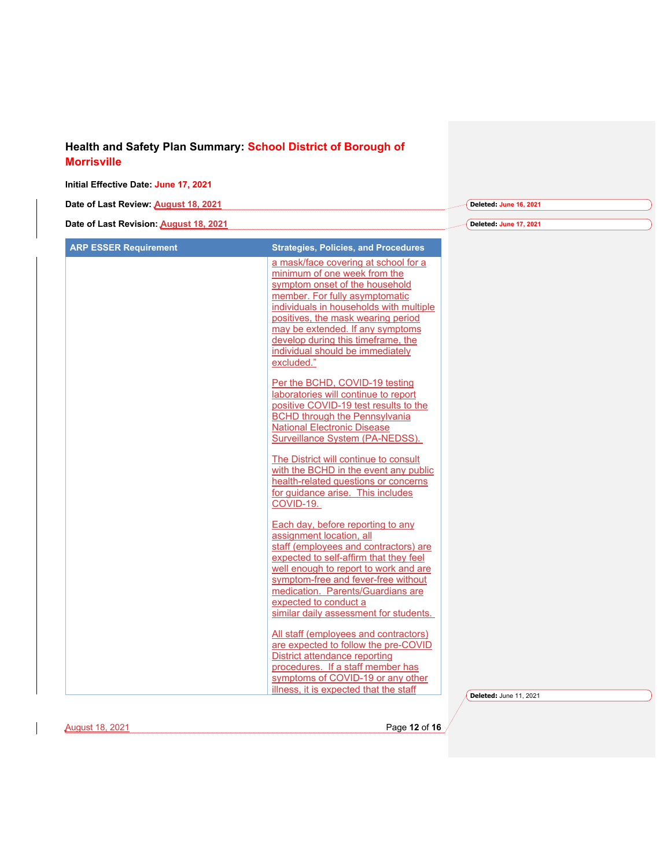|                                                                                                                                                                                                                                                                                                                                                                                                                                                                                                                                                                                                                                                                                                                                                                                                                                                                                                                                                                                                                                                                                                                                                                                                                                                                                                               | Deleted: June 16, 2021 |  |
|---------------------------------------------------------------------------------------------------------------------------------------------------------------------------------------------------------------------------------------------------------------------------------------------------------------------------------------------------------------------------------------------------------------------------------------------------------------------------------------------------------------------------------------------------------------------------------------------------------------------------------------------------------------------------------------------------------------------------------------------------------------------------------------------------------------------------------------------------------------------------------------------------------------------------------------------------------------------------------------------------------------------------------------------------------------------------------------------------------------------------------------------------------------------------------------------------------------------------------------------------------------------------------------------------------------|------------------------|--|
|                                                                                                                                                                                                                                                                                                                                                                                                                                                                                                                                                                                                                                                                                                                                                                                                                                                                                                                                                                                                                                                                                                                                                                                                                                                                                                               | Deleted: June 17, 2021 |  |
| <b>Strategies, Policies, and Procedures</b>                                                                                                                                                                                                                                                                                                                                                                                                                                                                                                                                                                                                                                                                                                                                                                                                                                                                                                                                                                                                                                                                                                                                                                                                                                                                   |                        |  |
| a mask/face covering at school for a<br>minimum of one week from the<br>symptom onset of the household<br>member. For fully asymptomatic<br>individuals in households with multiple<br>positives, the mask wearing period<br>may be extended. If any symptoms<br>develop during this timeframe, the<br>individual should be immediately<br>excluded."<br>Per the BCHD, COVID-19 testing<br>laboratories will continue to report<br>positive COVID-19 test results to the<br><b>BCHD through the Pennsylvania</b><br><b>National Electronic Disease</b><br>Surveillance System (PA-NEDSS).<br>The District will continue to consult<br>with the BCHD in the event any public<br>health-related questions or concerns<br>for guidance arise. This includes<br>COVID-19.<br>Each day, before reporting to any<br>assignment location, all<br>staff (employees and contractors) are<br>expected to self-affirm that they feel<br>well enough to report to work and are<br>symptom-free and fever-free without<br>medication. Parents/Guardians are<br>expected to conduct a<br>similar daily assessment for students.<br>All staff (employees and contractors)<br>are expected to follow the pre-COVID<br>District attendance reporting<br>procedures. If a staff member has<br>symptoms of COVID-19 or any other |                        |  |
|                                                                                                                                                                                                                                                                                                                                                                                                                                                                                                                                                                                                                                                                                                                                                                                                                                                                                                                                                                                                                                                                                                                                                                                                                                                                                                               |                        |  |

August 18, 2021 Page **12** of **16**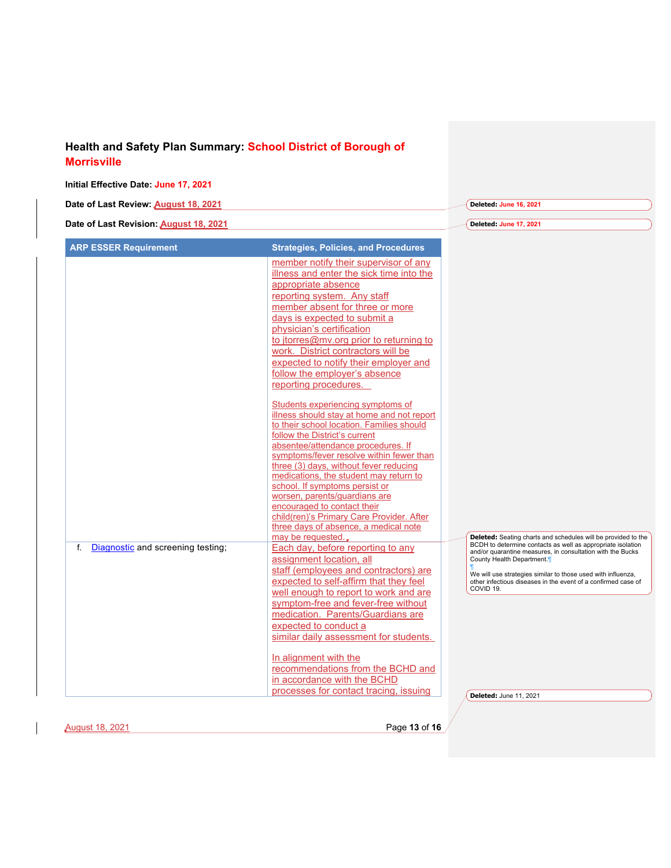| Date of Last Review: August 18, 2021<br>Deleted: June 16, 2021<br>Date of Last Revision: August 18, 2021<br>Deleted: June 17, 2021<br><b>ARP ESSER Requirement</b><br><b>Strategies, Policies, and Procedures</b><br>member notify their supervisor of any<br>illness and enter the sick time into the<br>appropriate absence<br>reporting system. Any staff<br>member absent for three or more<br>days is expected to submit a<br>physician's certification<br>to itorres@mv.org prior to returning to<br>work. District contractors will be<br>expected to notify their employer and<br>follow the employer's absence<br>reporting procedures.<br>Students experiencing symptoms of<br>illness should stay at home and not report<br>to their school location. Families should<br>follow the District's current<br>absentee/attendance procedures. If<br>symptoms/fever resolve within fewer than<br>three (3) days, without fever reducing<br>medications, the student may return to<br>school. If symptoms persist or<br>worsen, parents/quardians are<br>encouraged to contact their<br>child(ren)'s Primary Care Provider. After<br>three days of absence, a medical note<br>may be requested.<br>BCDH to determine contacts as well as appropriate isolation<br>Diagnostic and screening testing;<br>Each day, before reporting to any<br>f.<br>and/or quarantine measures, in consultation with the Bucks<br>assignment location, all<br>County Health Department. <sup>1</sup><br>staff (employees and contractors) are<br>We will use strategies similar to those used with influenza,<br>expected to self-affirm that they feel<br>other infectious diseases in the event of a confirmed case of<br>COVID 19.<br>well enough to report to work and are<br>symptom-free and fever-free without<br>medication. Parents/Guardians are<br>expected to conduct a<br>similar daily assessment for students.<br>In alignment with the<br>recommendations from the BCHD and<br>in accordance with the BCHD | Initial Effective Date: June 17, 2021 |                                        |                        |
|---------------------------------------------------------------------------------------------------------------------------------------------------------------------------------------------------------------------------------------------------------------------------------------------------------------------------------------------------------------------------------------------------------------------------------------------------------------------------------------------------------------------------------------------------------------------------------------------------------------------------------------------------------------------------------------------------------------------------------------------------------------------------------------------------------------------------------------------------------------------------------------------------------------------------------------------------------------------------------------------------------------------------------------------------------------------------------------------------------------------------------------------------------------------------------------------------------------------------------------------------------------------------------------------------------------------------------------------------------------------------------------------------------------------------------------------------------------------------------------------------------------------------------------------------------------------------------------------------------------------------------------------------------------------------------------------------------------------------------------------------------------------------------------------------------------------------------------------------------------------------------------------------------------------------------------------------------------------------------------------------------------|---------------------------------------|----------------------------------------|------------------------|
| Deleted: Seating charts and schedules will be provided to the                                                                                                                                                                                                                                                                                                                                                                                                                                                                                                                                                                                                                                                                                                                                                                                                                                                                                                                                                                                                                                                                                                                                                                                                                                                                                                                                                                                                                                                                                                                                                                                                                                                                                                                                                                                                                                                                                                                                                 |                                       |                                        |                        |
|                                                                                                                                                                                                                                                                                                                                                                                                                                                                                                                                                                                                                                                                                                                                                                                                                                                                                                                                                                                                                                                                                                                                                                                                                                                                                                                                                                                                                                                                                                                                                                                                                                                                                                                                                                                                                                                                                                                                                                                                               |                                       |                                        |                        |
|                                                                                                                                                                                                                                                                                                                                                                                                                                                                                                                                                                                                                                                                                                                                                                                                                                                                                                                                                                                                                                                                                                                                                                                                                                                                                                                                                                                                                                                                                                                                                                                                                                                                                                                                                                                                                                                                                                                                                                                                               |                                       |                                        |                        |
|                                                                                                                                                                                                                                                                                                                                                                                                                                                                                                                                                                                                                                                                                                                                                                                                                                                                                                                                                                                                                                                                                                                                                                                                                                                                                                                                                                                                                                                                                                                                                                                                                                                                                                                                                                                                                                                                                                                                                                                                               |                                       |                                        |                        |
|                                                                                                                                                                                                                                                                                                                                                                                                                                                                                                                                                                                                                                                                                                                                                                                                                                                                                                                                                                                                                                                                                                                                                                                                                                                                                                                                                                                                                                                                                                                                                                                                                                                                                                                                                                                                                                                                                                                                                                                                               |                                       | processes for contact tracing, issuing | Deleted: June 11, 2021 |

 $\overline{\phantom{a}}$ 

August 18, 2021 Page **13** of **16**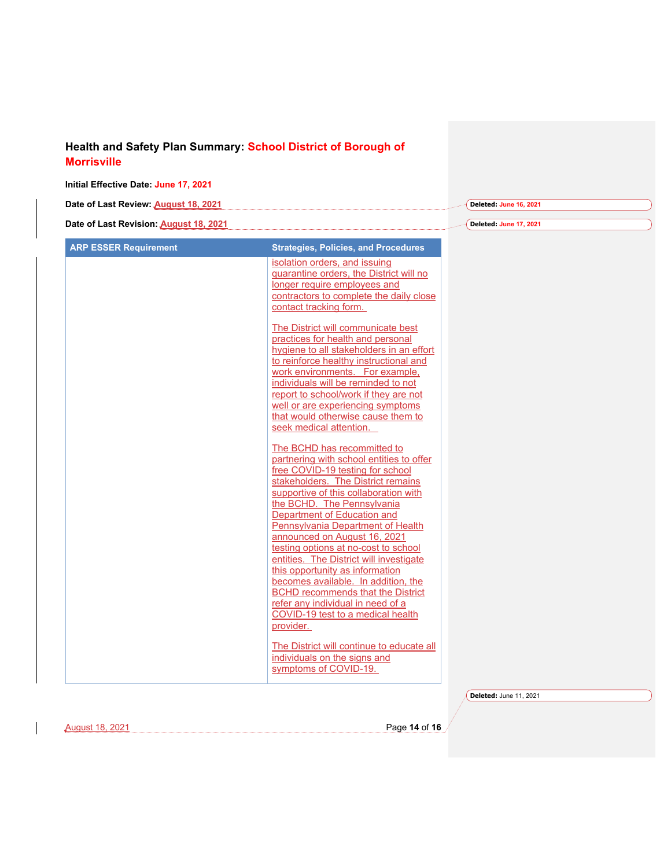#### **Initial Effective Date: June 17, 2021**

| Date of Last Review: August 18, 2021   | Deleted: June 16, 2021 |
|----------------------------------------|------------------------|
|                                        |                        |
| Date of Last Revision: August 18, 2021 | Deleted: June 17, 2021 |

| <b>ARP ESSER Requirement</b> | <b>Strategies, Policies, and Procedures</b>                                     |
|------------------------------|---------------------------------------------------------------------------------|
|                              | isolation orders, and issuing                                                   |
|                              | quarantine orders, the District will no<br>longer require employees and         |
|                              | contractors to complete the daily close                                         |
|                              | contact tracking form.                                                          |
|                              |                                                                                 |
|                              | The District will communicate best                                              |
|                              | practices for health and personal<br>hygiene to all stakeholders in an effort   |
|                              | to reinforce healthy instructional and                                          |
|                              | work environments. For example,                                                 |
|                              | individuals will be reminded to not                                             |
|                              | report to school/work if they are not                                           |
|                              | well or are experiencing symptoms<br>that would otherwise cause them to         |
|                              | seek medical attention.                                                         |
|                              |                                                                                 |
|                              | The BCHD has recommitted to<br>partnering with school entities to offer         |
|                              | free COVID-19 testing for school                                                |
|                              | stakeholders. The District remains                                              |
|                              | supportive of this collaboration with                                           |
|                              | the BCHD. The Pennsylvania                                                      |
|                              | Department of Education and<br>Pennsylvania Department of Health                |
|                              | announced on August 16, 2021                                                    |
|                              | testing options at no-cost to school                                            |
|                              | entities. The District will investigate                                         |
|                              | this opportunity as information                                                 |
|                              | becomes available. In addition, the<br><b>BCHD recommends that the District</b> |
|                              | refer any individual in need of a                                               |
|                              | COVID-19 test to a medical health                                               |
|                              | provider.                                                                       |
|                              | The District will continue to educate all                                       |
|                              | individuals on the signs and                                                    |
|                              | symptoms of COVID-19.                                                           |
|                              |                                                                                 |
|                              |                                                                                 |

August 18, 2021 Page **14** of **16**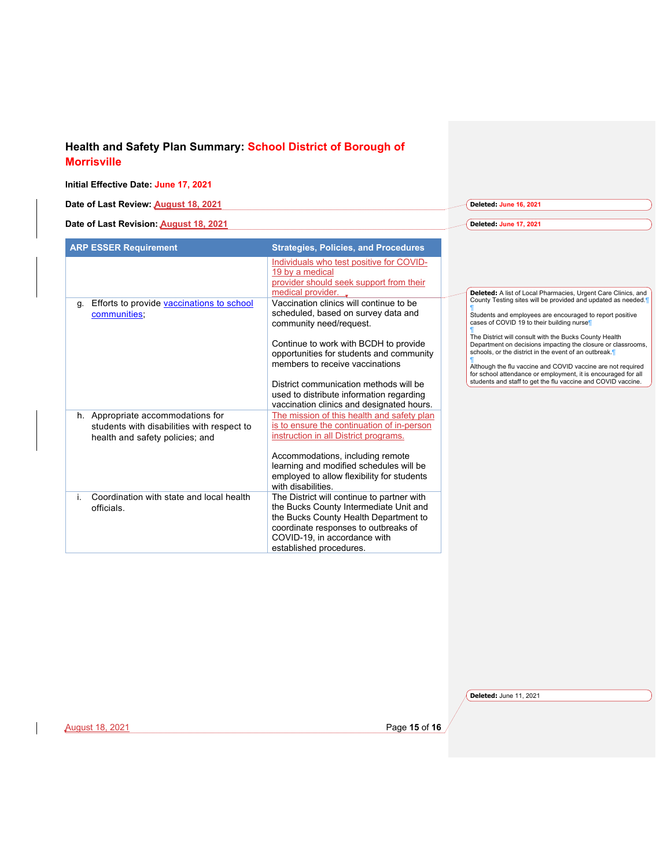#### **Initial Effective Date: June 17, 2021**

| Date of Last Review: August 18, 2021   | Deleted: June 16, 2021  |
|----------------------------------------|-------------------------|
|                                        |                         |
| Date of Last Revision: August 18, 2021 | Deleted: June 17, 2021) |

| <b>ARP ESSER Requirement</b>                                                                                       | <b>Strategies, Policies, and Procedures</b>                                                                                                                                                                                                                                                                                                                          |                                                                                                                                                                                                                                                                                                                                                                                                                                                                                                                                                          |                                                               |
|--------------------------------------------------------------------------------------------------------------------|----------------------------------------------------------------------------------------------------------------------------------------------------------------------------------------------------------------------------------------------------------------------------------------------------------------------------------------------------------------------|----------------------------------------------------------------------------------------------------------------------------------------------------------------------------------------------------------------------------------------------------------------------------------------------------------------------------------------------------------------------------------------------------------------------------------------------------------------------------------------------------------------------------------------------------------|---------------------------------------------------------------|
|                                                                                                                    | Individuals who test positive for COVID-<br>19 by a medical<br>provider should seek support from their<br>medical provider.                                                                                                                                                                                                                                          |                                                                                                                                                                                                                                                                                                                                                                                                                                                                                                                                                          | Deleted: A list of Local Pharmacies, Urgent Care Clinics, and |
| Efforts to provide vaccinations to school<br>q.<br>communities:                                                    | Vaccination clinics will continue to be<br>scheduled, based on survey data and<br>community need/request.<br>Continue to work with BCDH to provide<br>opportunities for students and community<br>members to receive vaccinations<br>District communication methods will be<br>used to distribute information regarding<br>vaccination clinics and designated hours. | County Testing sites will be provided and updated as needed.<br>Students and employees are encouraged to report positive<br>cases of COVID 19 to their building nurse<br>The District will consult with the Bucks County Health<br>Department on decisions impacting the closure or classrooms,<br>schools, or the district in the event of an outbreak.<br>Although the flu vaccine and COVID vaccine are not required<br>for school attendance or employment, it is encouraged for all<br>students and staff to get the flu vaccine and COVID vaccine. |                                                               |
| h. Appropriate accommodations for<br>students with disabilities with respect to<br>health and safety policies; and | The mission of this health and safety plan<br>is to ensure the continuation of in-person<br>instruction in all District programs.<br>Accommodations, including remote<br>learning and modified schedules will be<br>employed to allow flexibility for students<br>with disabilities.                                                                                 |                                                                                                                                                                                                                                                                                                                                                                                                                                                                                                                                                          |                                                               |
| Coordination with state and local health<br>officials.                                                             | The District will continue to partner with<br>the Bucks County Intermediate Unit and<br>the Bucks County Health Department to<br>coordinate responses to outbreaks of<br>COVID-19, in accordance with<br>established procedures.                                                                                                                                     |                                                                                                                                                                                                                                                                                                                                                                                                                                                                                                                                                          |                                                               |

**Deleted:** June 11, 2021

August 18, 2021 Page **15** of **16**